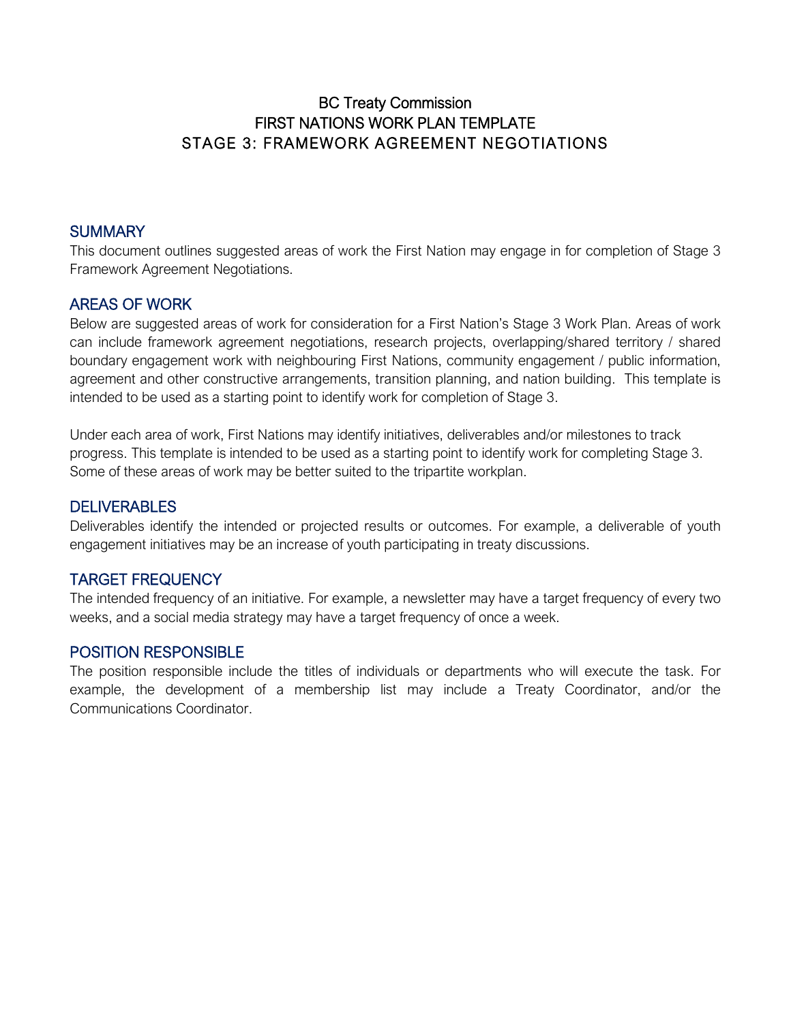### BC Treaty Commission FIRST NATIONS WORK PLAN TEMPLATE STAGE 3: FRAMEWORK AGREEMENT NEGOTIATIONS

#### **SUMMARY**

This document outlines suggested areas of work the First Nation may engage in for completion of Stage 3 Framework Agreement Negotiations.

#### AREAS OF WORK

Below are suggested areas of work for consideration for a First Nation's Stage 3 Work Plan. Areas of work can include framework agreement negotiations, research projects, overlapping/shared territory / shared boundary engagement work with neighbouring First Nations, community engagement / public information, agreement and other constructive arrangements, transition planning, and nation building. This template is intended to be used as a starting point to identify work for completion of Stage 3.

Under each area of work, First Nations may identify initiatives, deliverables and/or milestones to track progress. This template is intended to be used as a starting point to identify work for completing Stage 3. Some of these areas of work may be better suited to the tripartite workplan.

### **DELIVERABLES**

Deliverables identify the intended or projected results or outcomes. For example, a deliverable of youth engagement initiatives may be an increase of youth participating in treaty discussions.

### TARGET FREQUENCY

The intended frequency of an initiative. For example, a newsletter may have a target frequency of every two weeks, and a social media strategy may have a target frequency of once a week.

#### POSITION RESPONSIBLE

The position responsible include the titles of individuals or departments who will execute the task. For example, the development of a membership list may include a Treaty Coordinator, and/or the Communications Coordinator.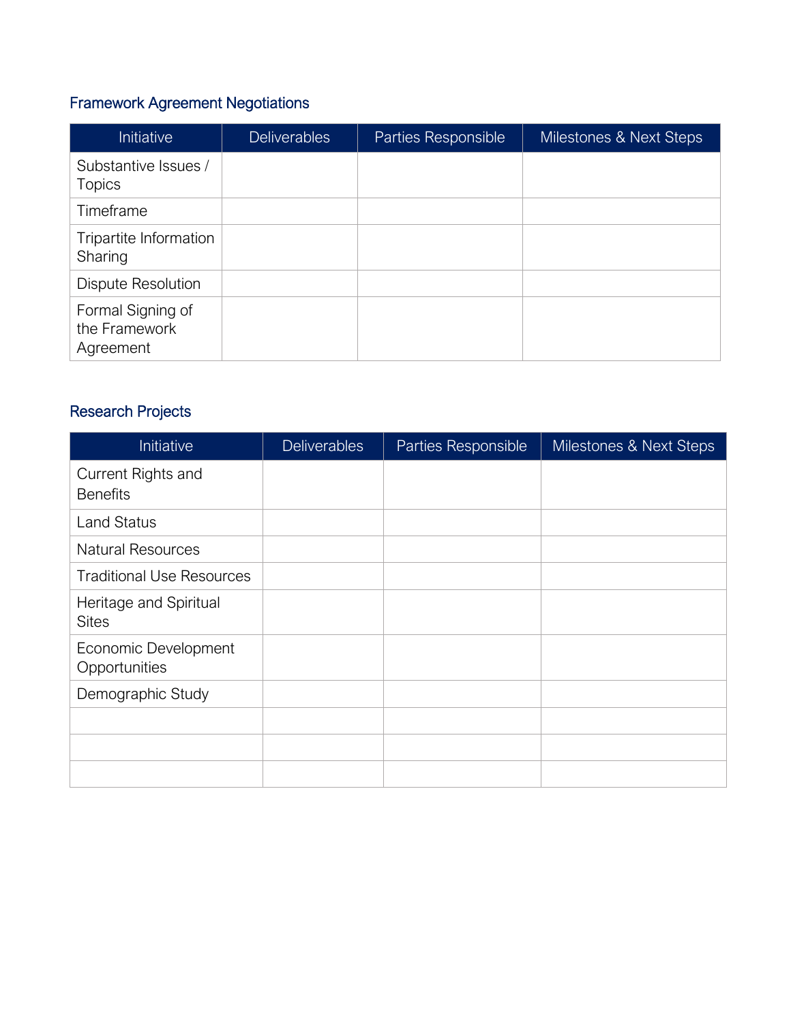# Framework Agreement Negotiations

| Initiative                                      | <b>Deliverables</b> | Parties Responsible | Milestones & Next Steps |
|-------------------------------------------------|---------------------|---------------------|-------------------------|
| Substantive Issues /<br><b>Topics</b>           |                     |                     |                         |
| Timeframe                                       |                     |                     |                         |
| Tripartite Information<br>Sharing               |                     |                     |                         |
| <b>Dispute Resolution</b>                       |                     |                     |                         |
| Formal Signing of<br>the Framework<br>Agreement |                     |                     |                         |

## Research Projects

| Initiative                             | <b>Deliverables</b> | Parties Responsible | Milestones & Next Steps |
|----------------------------------------|---------------------|---------------------|-------------------------|
| Current Rights and<br><b>Benefits</b>  |                     |                     |                         |
| <b>Land Status</b>                     |                     |                     |                         |
| <b>Natural Resources</b>               |                     |                     |                         |
| <b>Traditional Use Resources</b>       |                     |                     |                         |
| Heritage and Spiritual<br><b>Sites</b> |                     |                     |                         |
| Economic Development<br>Opportunities  |                     |                     |                         |
| Demographic Study                      |                     |                     |                         |
|                                        |                     |                     |                         |
|                                        |                     |                     |                         |
|                                        |                     |                     |                         |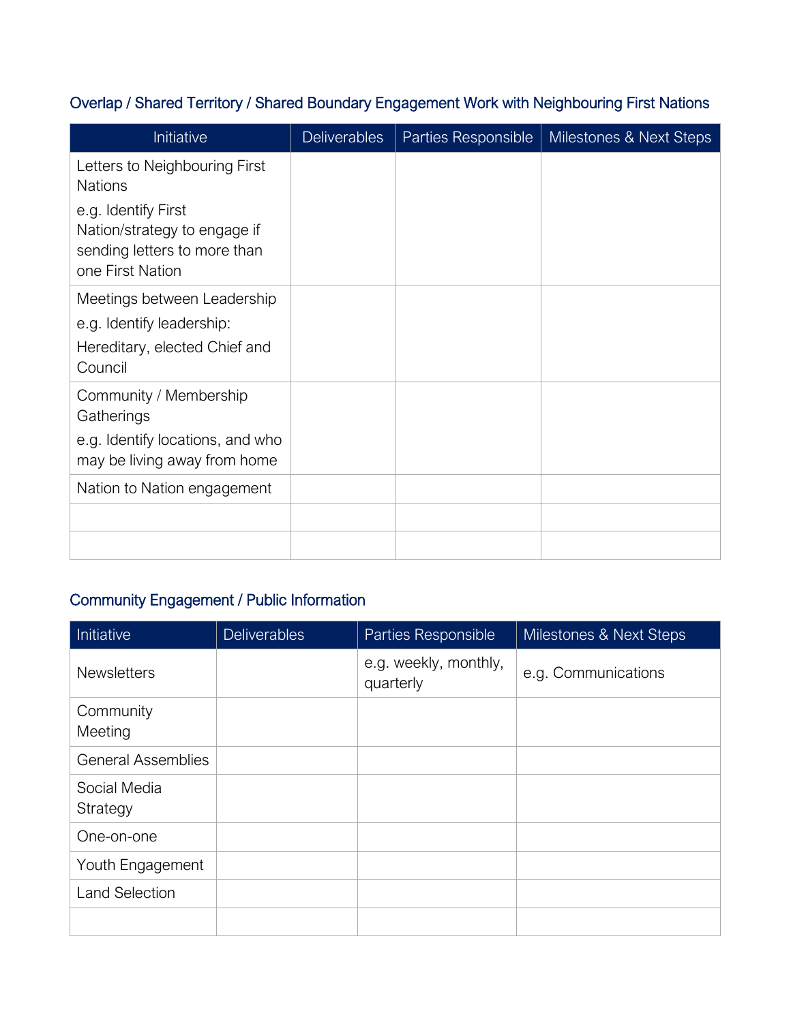## Overlap / Shared Territory / Shared Boundary Engagement Work with Neighbouring First Nations

| Initiative                                                                                              | <b>Deliverables</b> | Parties Responsible | Milestones & Next Steps |
|---------------------------------------------------------------------------------------------------------|---------------------|---------------------|-------------------------|
| Letters to Neighbouring First<br><b>Nations</b>                                                         |                     |                     |                         |
| e.g. Identify First<br>Nation/strategy to engage if<br>sending letters to more than<br>one First Nation |                     |                     |                         |
| Meetings between Leadership<br>e.g. Identify leadership:<br>Hereditary, elected Chief and<br>Council    |                     |                     |                         |
| Community / Membership<br>Gatherings                                                                    |                     |                     |                         |
| e.g. Identify locations, and who<br>may be living away from home                                        |                     |                     |                         |
| Nation to Nation engagement                                                                             |                     |                     |                         |
|                                                                                                         |                     |                     |                         |
|                                                                                                         |                     |                     |                         |

# Community Engagement / Public Information

| Initiative                | <b>Deliverables</b> | Parties Responsible                | Milestones & Next Steps |
|---------------------------|---------------------|------------------------------------|-------------------------|
| <b>Newsletters</b>        |                     | e.g. weekly, monthly,<br>quarterly | e.g. Communications     |
| Community<br>Meeting      |                     |                                    |                         |
| <b>General Assemblies</b> |                     |                                    |                         |
| Social Media<br>Strategy  |                     |                                    |                         |
| One-on-one                |                     |                                    |                         |
| Youth Engagement          |                     |                                    |                         |
| <b>Land Selection</b>     |                     |                                    |                         |
|                           |                     |                                    |                         |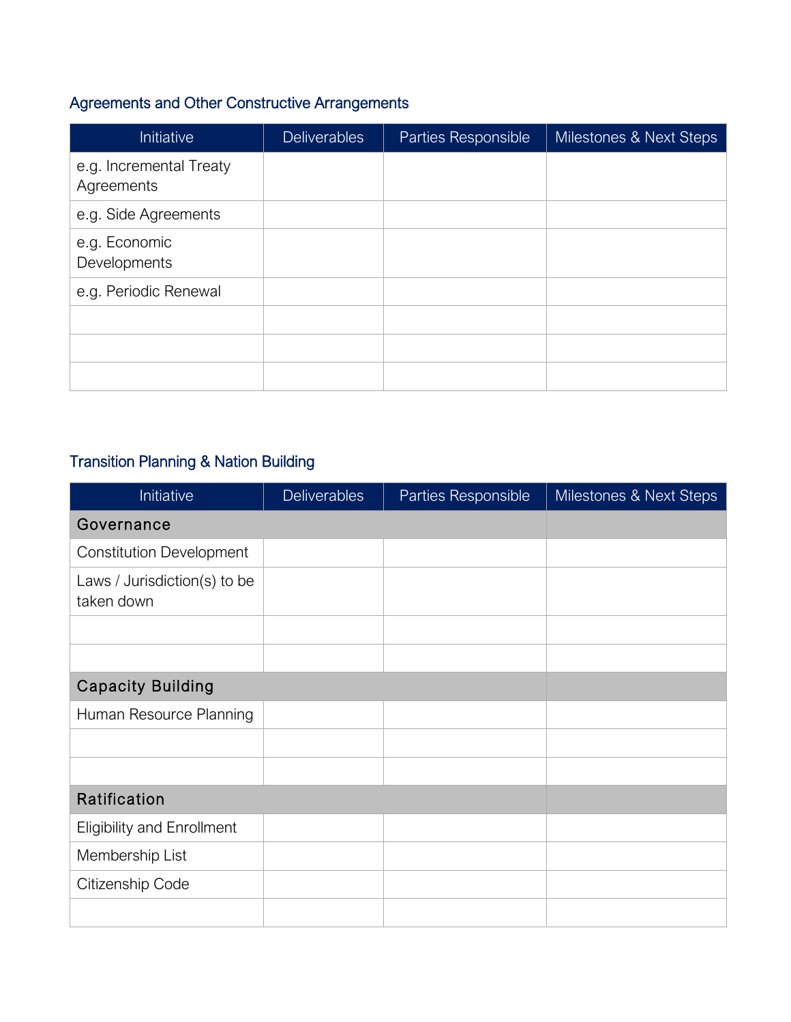# Agreements and Other Constructive Arrangements

| Initiative                            | <b>Deliverables</b> | Parties Responsible | Milestones & Next Steps |
|---------------------------------------|---------------------|---------------------|-------------------------|
| e.g. Incremental Treaty<br>Agreements |                     |                     |                         |
| e.g. Side Agreements                  |                     |                     |                         |
| e.g. Economic<br>Developments         |                     |                     |                         |
| e.g. Periodic Renewal                 |                     |                     |                         |
|                                       |                     |                     |                         |
|                                       |                     |                     |                         |
|                                       |                     |                     |                         |

## Transition Planning & Nation Building

| Initiative                                 | <b>Deliverables</b> | Parties Responsible | Milestones & Next Steps |
|--------------------------------------------|---------------------|---------------------|-------------------------|
| Governance                                 |                     |                     |                         |
| <b>Constitution Development</b>            |                     |                     |                         |
| Laws / Jurisdiction(s) to be<br>taken down |                     |                     |                         |
|                                            |                     |                     |                         |
|                                            |                     |                     |                         |
| <b>Capacity Building</b>                   |                     |                     |                         |
| Human Resource Planning                    |                     |                     |                         |
|                                            |                     |                     |                         |
|                                            |                     |                     |                         |
| Ratification                               |                     |                     |                         |
| <b>Eligibility and Enrollment</b>          |                     |                     |                         |
| Membership List                            |                     |                     |                         |
| Citizenship Code                           |                     |                     |                         |
|                                            |                     |                     |                         |